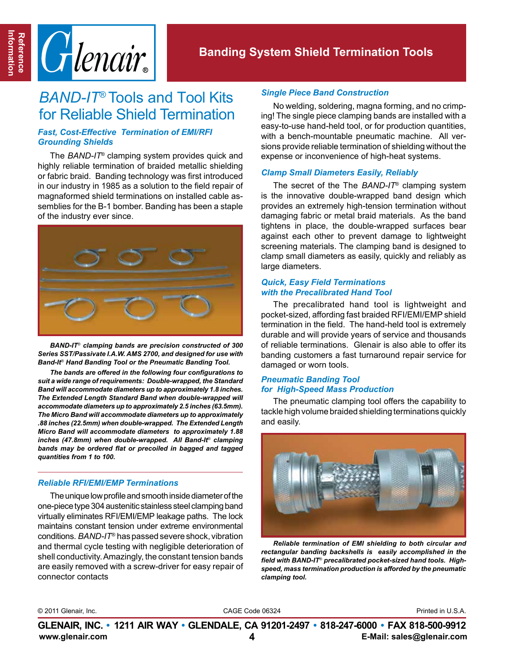

# *BAND-IT*® Tools and Tool Kits for Reliable Shield Termination

### *Fast, Cost-Effective Termination of EMI/RFI Grounding Shields*

The *BAND-IT*® clamping system provides quick and highly reliable termination of braided metallic shielding or fabric braid. Banding technology was first introduced in our industry in 1985 as a solution to the field repair of magnaformed shield terminations on installed cable assemblies for the B-1 bomber. Banding has been a staple of the industry ever since.



*BAND-IT*® *clamping bands are precision constructed of 300 Series SST/Passivate I.A.W. AMS 2700, and designed for use with Band-It*® *Hand Banding Tool or the Pneumatic Banding Tool.* 

*The bands are offered in the following four configurations to suit a wide range of requirements: Double-wrapped, the Standard Band will accommodate diameters up to approximately 1.8 inches. The Extended Length Standard Band when double-wrapped will accommodate diameters up to approximately 2.5 inches (63.5mm). The Micro Band will accommodate diameters up to approximately .88 inches (22.5mm) when double-wrapped. The Extended Length Micro Band will accommodate diameters to approximately 1.88 inches (47.8mm) when double-wrapped. All Band-It*® *clamping bands may be ordered flat or precoiled in bagged and tagged quantities from 1 to 100.* 

### *Reliable RFI/EMI/EMP Terminations*

The unique low profile and smooth inside diameter of the one-piece type 304 austenitic stainless steel clamping band virtually eliminates RFI/EMI/EMP leakage paths. The lock maintains constant tension under extreme environmental conditions. *BAND-IT®* has passed severe shock, vibration and thermal cycle testing with negligible deterioration of shell conductivity. Amazingly, the constant tension bands are easily removed with a screw-driver for easy repair of connector contacts

### *Single Piece Band Construction*

No welding, soldering, magna forming, and no crimping! The single piece clamping bands are installed with a easy-to-use hand-held tool, or for production quantities, with a bench-mountable pneumatic machine. All versions provide reliable termination of shielding without the expense or inconvenience of high-heat systems.

### *Clamp Small Diameters Easily, Reliably*

The secret of the The *BAND-IT*® clamping system is the innovative double-wrapped band design which provides an extremely high-tension termination without damaging fabric or metal braid materials. As the band tightens in place, the double-wrapped surfaces bear against each other to prevent damage to lightweight screening materials. The clamping band is designed to clamp small diameters as easily, quickly and reliably as large diameters.

### *Quick, Easy Field Terminations with the Precalibrated Hand Tool*

The precalibrated hand tool is lightweight and pocket-sized, affording fast braided RFI/EMI/EMP shield termination in the field. The hand-held tool is extremely durable and will provide years of service and thousands of reliable terminations. Glenair is also able to offer its banding customers a fast turnaround repair service for damaged or worn tools.

### *Pneumatic Banding Tool for High-Speed Mass Production*

The pneumatic clamping tool offers the capability to tackle high volume braided shielding terminations quickly and easily.



*Reliable termination of EMI shielding to both circular and rectangular banding backshells is easily accomplished in the field with BAND-IT*® *precalibrated pocket-sized hand tools. Highspeed, mass termination production is afforded by the pneumatic clamping tool.* 

© 2011 Glenair, Inc. CAGE Code 06324 Printed in U.S.A.

**www.glenair.com 4 E-Mail: sales@glenair.com GLENAIR, INC. • 1211 AIR WAY • GLENDALE, CA 91201-2497 • 818-247-6000 • FAX 818-500-9912**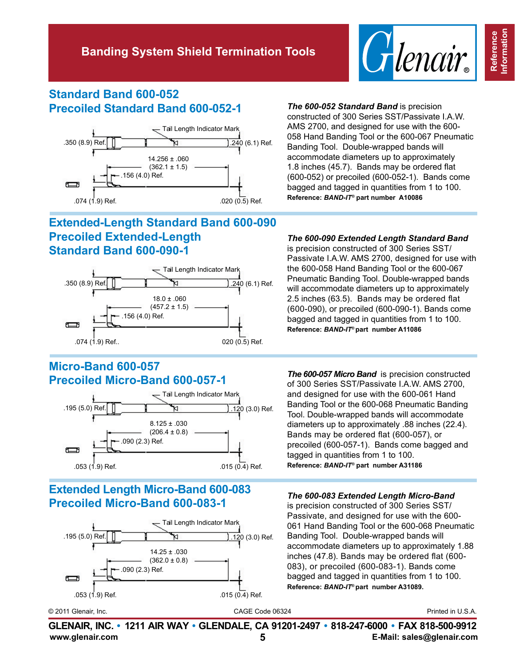

## **Standard Band 600-052 Precoiled Standard Band 600-052-1** *The 600-052 Standard Band* is precision



## **Extended-Length Standard Band 600-090 Precoiled Extended-Length Standard Band 600-090-1**



# **Micro-Band 600-057**



## **Extended Length Micro-Band 600-083 Precoiled Micro-Band 600-083-1** *The 600-083 Extended Length Micro-Band*



constructed of 300 Series SST/Passivate I.A.W. AMS 2700, and designed for use with the 600- 058 Hand Banding Tool or the 600-067 Pneumatic Banding Tool. Double-wrapped bands will accommodate diameters up to approximately 1.8 inches (45.7). Bands may be ordered flat (600-052) or precoiled (600-052-1). Bands come bagged and tagged in quantities from 1 to 100. **Reference:** *BAND-IT®* **part number A10086**

### *The 600-090 Extended Length Standard Band*

is precision constructed of 300 Series SST/ Passivate I.A.W. AMS 2700, designed for use with the 600-058 Hand Banding Tool or the 600-067 Pneumatic Banding Tool. Double-wrapped bands will accommodate diameters up to approximately 2.5 inches (63.5). Bands may be ordered flat (600-090), or precoiled (600-090-1). Bands come bagged and tagged in quantities from 1 to 100. **Reference:** *BAND-IT***® part number A11086**

**Precoiled Micro-Band 600-057-1** *The 600-057 Micro Band* is precision constructed of 300 Series SST/Passivate I.A.W. AMS 2700, and designed for use with the 600-061 Hand Banding Tool or the 600-068 Pneumatic Banding Tool. Double-wrapped bands will accommodate diameters up to approximately .88 inches (22.4). Bands may be ordered flat (600-057), or precoiled (600-057-1). Bands come bagged and tagged in quantities from 1 to 100. **Reference:** *BAND-IT®* **part number A31186**

is precision constructed of 300 Series SST/ Passivate, and designed for use with the 600- 061 Hand Banding Tool or the 600-068 Pneumatic Banding Tool. Double-wrapped bands will accommodate diameters up to approximately 1.88 inches (47.8). Bands may be ordered flat (600- 083), or precoiled (600-083-1). Bands come bagged and tagged in quantities from 1 to 100. **Reference:** *BAND-IT***® part number A31089.**

Reference<br>nformation **Information Reference**

© 2011 Glenair, Inc. CAGE Code 06324 Printed in U.S.A.

**www.glenair.com 5 E-Mail: sales@glenair.com GLENAIR, INC. • 1211 AIR WAY • GLENDALE, CA 91201-2497 • 818-247-6000 • FAX 818-500-9912**